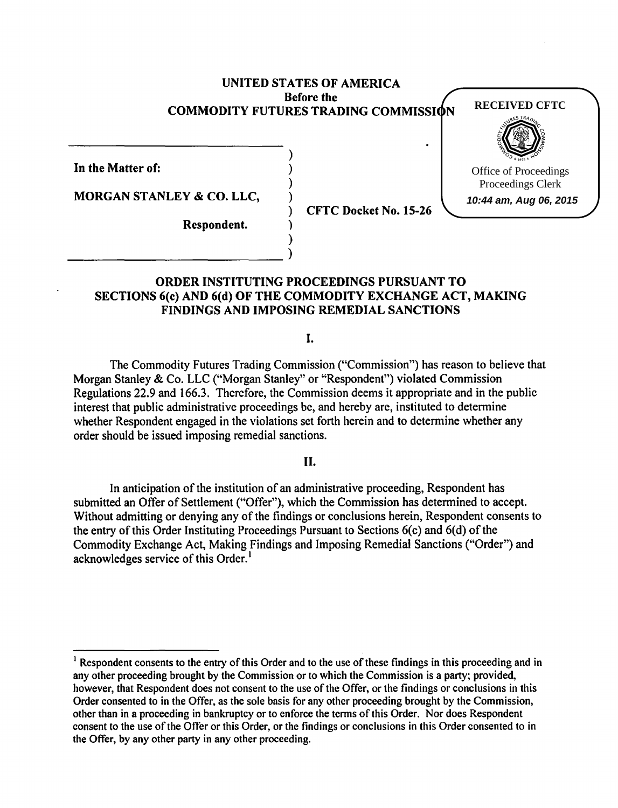## UNITED STATES OF AMERICA Before the COMMODITY FUTURES TRADING COMMISSION

) ) ) )

)

In the Matter of:

MORGAN STANLEY & CO. LLC,

)  $_{\text{}}$ 

) CFTC Docket No. 15-26

**RECEIVED CFTC**

Office of Proceedings Proceedings Clerk **10:44 am, Aug 06, 2015**

Respondent.

# ORDER INSTITUTING PROCEEDINGS PURSUANT TO SECTIONS 6(c) AND 6(d) OF THE COMMODITY EXCHANGE ACT, MAKING FINDINGS AND IMPOSING REMEDIAL SANCTIONS

I.

The Commodity Futures Trading Commission ("Commission") has reason to believe that Morgan Stanley & Co. LLC ("Morgan Stanley" or "Respondent") violated Commission Regulations 22.9 and 166.3. Therefore, the Commission deems it appropriate and in the public interest that public administrative proceedings be, and hereby are, instituted to determine whether Respondent engaged in the violations set forth herein and to determine whether any order should be issued imposing remedial sanctions.

### II.

In anticipation of the institution of an administrative proceeding, Respondent has submitted an Offer of Settlement ("Offer"), which the Commission has determined to accept. Without admitting or denying any of the findings or conclusions herein, Respondent consents to the entry of this Order Instituting Proceedings Pursuant to Sections 6(c) and 6(d) of the Commodity Exchange Act, Making Findings and Imposing Remedial Sanctions ("Order") and acknowledges service of this Order.<sup>1</sup>

 $<sup>1</sup>$  Respondent consents to the entry of this Order and to the use of these findings in this proceeding and in</sup> any other proceeding brought by the Commission or to which the Commission is a party; provided, however, that Respondent does not consent to the use of the Offer, or the findings or conclusions in this Order consented to in the Offer, as the sole basis for any other proceeding brought by the Commission, other than in a proceeding in bankruptcy or to enforce the terms of this Order. Nor does Respondent consent to the use of the Offer or this Order, or the findings or conclusions in this Order consented to in the Offer, by any other party in any other proceeding.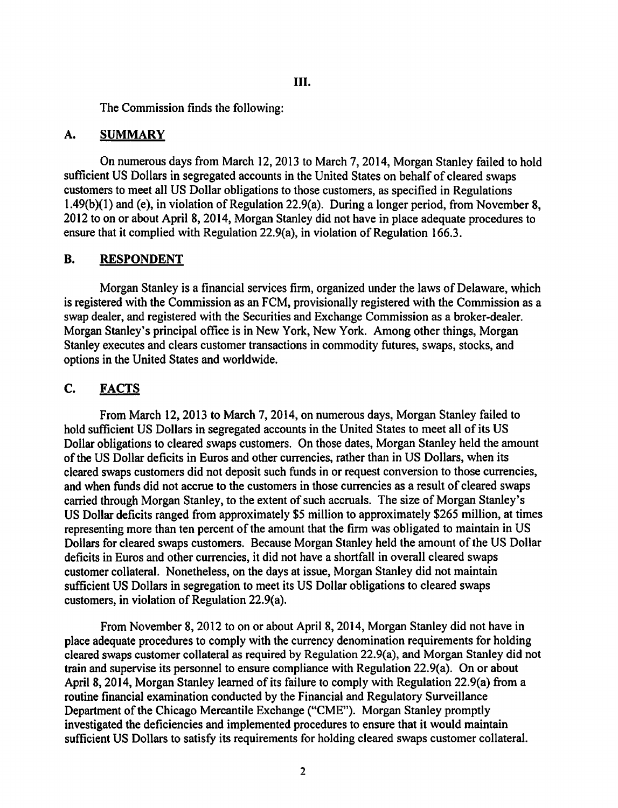The Commission finds the following:

## A. SUMMARY

On numerous days from March 12, 2013 to March 7, 2014, Morgan Stanley failed to hold sufficient US Dollars in segregated accounts in the United States on behalf of cleared swaps customers to meet all US Dollar obligations to those customers, as specified in Regulations  $1.49(b)(1)$  and (e), in violation of Regulation 22.9(a). During a longer period, from November 8, 2012 to on or about April 8, 2014, Morgan Stanley did not have in place adequate procedures to ensure that it complied with Regulation 22.9(a), in violation of Regulation 166.3.

## B. RESPONDENT

Morgan Stanley is a financial services firm, organized under the laws of Delaware, which is registered with the Commission as an FCM, provisionally registered with the Commission as a swap dealer, and registered with the Securities and Exchange Commission as a broker-dealer. Morgan Stanley's principal office is in New York, New York. Among other things, Morgan Stanley executes and clears customer transactions in commodity futures, swaps, stocks, and options in the United States and worldwide.

# C. FACTS

From March 12, 2013 to March 7, 2014, on numerous days, Morgan Stanley failed to hold sufficient US Dollars in segregated accounts in the United States to meet all of its US Dollar obligations to cleared swaps customers. On those dates, Morgan Stanley held the amount of the US Dollar deficits in Euros and other currencies, rather than in US Dollars, when its cleared swaps customers did not deposit such funds in or request conversion to those currencies, and when funds did not accrue to the customers in those currencies as a result of cleared swaps carried through Morgan Stanley, to the extent of such accruals. The size of Morgan Stanley's US Dollar deficits ranged from approximately \$5 million to approximately \$265 million, at times representing more than ten percent of the amount that the firm was obligated to maintain in US Dollars for cleared swaps customers. Because Morgan Stanley held the amount of the US Dollar deficits in Euros and other currencies, it did not have a shortfall in overall cleared swaps customer collateral. Nonetheless, on the days at issue, Morgan Stanley did not maintain sufficient US Dollars in segregation to meet its US Dollar obligations to cleared swaps customers, in violation of Regulation 22.9(a).

From November 8, 2012 to on or about April 8, 2014, Morgan Stanley did not have in place adequate procedures to comply with the currency denomination requirements for holding cleared swaps customer collateral as required by Regulation 22.9(a), and Morgan Stanley did not train and supervise its personnel to ensure compliance with Regulation 22.9(a). On or about April 8, 2014, Morgan Stanley learned of its failure to comply with Regulation 22.9(a) from a routine financial examination conducted by the Financial and Regulatory Surveillance Department of the Chicago Mercantile Exchange ("CME"). Morgan Stanley promptly investigated the deficiencies and implemented procedures to ensure that it would maintain sufficient US Dollars to satisfy its requirements for holding cleared swaps customer collateral.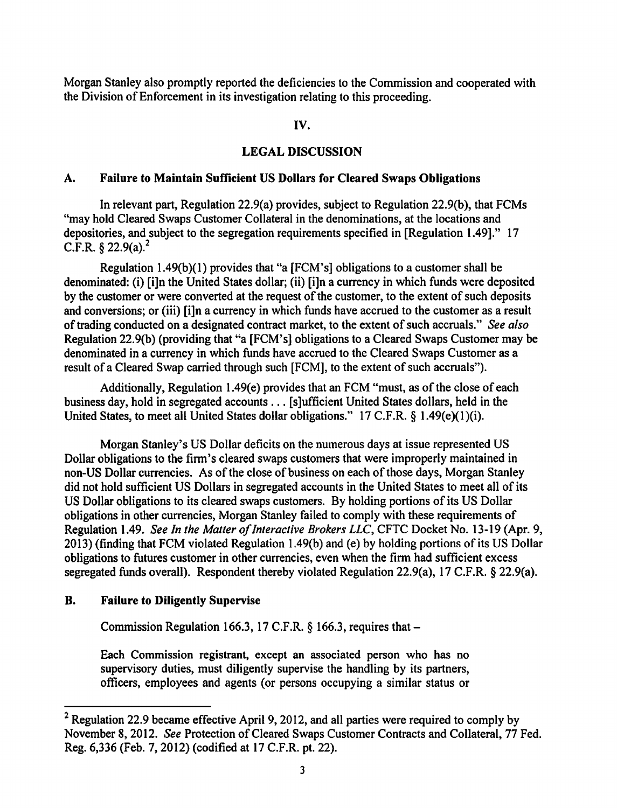Morgan Stanley also promptly reported the deficiencies to the Commission and cooperated with the Division of Enforcement in its investigation relating to this proceeding.

### IV.

### LEGAL DISCUSSION

#### A. Failure to Maintain Sufficient US Dollars for Cleared Swaps Obligations

In relevant part, Regulation 22.9(a) provides, subject to Regulation 22.9(b), that FCMs "may hold Cleared Swaps Customer Collateral in the denominations, at the locations and depositories, and subject to the segregation requirements specified in [Regulation 1.49]." 17  $C.F.R.$  § 22.9(a).<sup>2</sup>

Regulation  $1.49(b)(1)$  provides that "a [FCM's] obligations to a customer shall be denominated: (i) [i]n the United States dollar; (ii) [i]n a currency in which funds were deposited by the customer or were converted at the request of the customer, to the extent of such deposits and conversions; or (iii) [i]n a currency in which funds have accrued to the customer as a result of trading conducted on a designated contract market, to the extent of such accruals." *See also*  Regulation 22.9(b) (providing that "a [FCM's] obligations to a Cleared Swaps Customer may be denominated in a currency in which funds have accrued to the Cleared Swaps Customer as a result of a Cleared Swap carried through such [FCM], to the extent of such accruals").

Additionally, Regulation 1.49(e) provides that an FCM "must, as of the close of each business day, hold in segregated accounts ... [s]ufficient United States dollars, held in the United States, to meet all United States dollar obligations." 17 C.F.R. § 1.49(e)(1)(i).

Morgan Stanley's US Dollar deficits on the numerous days at issue represented US Dollar obligations to the firm's cleared swaps customers that were improperly maintained in non-US Dollar currencies. As of the close of business on each of those days, Morgan Stanley did not hold sufficient US Dollars in segregated accounts in the United States to meet all of its US Dollar obligations to its cleared swaps customers. By holding portions of its US Dollar obligations in other currencies, Morgan Stanley failed to comply with these requirements of Regulation 1.49. *See In the Matter of Interactive Brokers LLC,* CFTC Docket No. 13-19 (Apr. 9, 2013) (finding that FCM violated Regulation 1.49(b) and (e) by holding portions of its US Dollar obligations to futures customer in other currencies, even when the firm had sufficient excess segregated funds overall). Respondent thereby violated Regulation 22.9(a), 17 C.F.R. § 22.9(a).

#### B. Failure to Diligently Supervise

Commission Regulation 166.3, 17 C.F.R. § 166.3, requires that-

Each Commission registrant, except an associated person who has no supervisory duties, must diligently supervise the handling by its partners, officers, employees and agents (or persons occupying a similar status or

<sup>&</sup>lt;sup>2</sup> Regulation 22.9 became effective April 9, 2012, and all parties were required to comply by November 8, 2012. *See* Protection of Cleared Swaps Customer Contracts and Collateral, 77 Fed. Reg. 6,336 (Feb. 7, 2012) (codified at 17 C.F.R. pt. 22).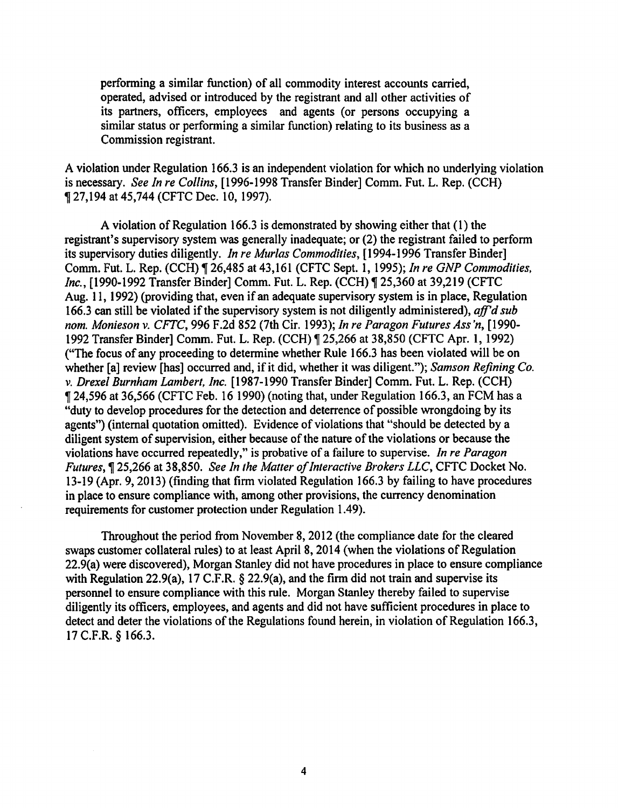performing a similar function) of all commodity interest accounts carried, operated, advised or introduced by the registrant and all other activities of its partners, officers, employees and agents (or persons occupying a similar status or performing a similar function) relating to its business as a Commission registrant.

A violation under Regulation 166.3 is an independent violation for which no underlying violation is necessary. *See In re Collins,* [1996-1998 Transfer Binder] Comm. Fut. L. Rep. (CCH) <sup>~</sup>27,194 at 45,744 (CFTC Dec. 10, 1997).

A violation of Regulation 166.3 is demonstrated by showing either that ( 1) the registrant's supervisory system was generally inadequate; or (2) the registrant failed to perform its supervisory duties diligently. *In re Murlas Commodities,* [1994-1996 Transfer Binder] Comm. Fut. L. Rep. (CCH) ~ 26,485 at 43,161 (CFTC Sept. 1, 1995); *In re GNP Commodities, Inc.*, [1990-1992 Transfer Binder] Comm. Fut. L. Rep. (CCH) ¶ 25,360 at 39,219 (CFTC Aug. 11, 1992) (providing that, even if an adequate supervisory system is in place, Regulation 166.3 can still be violated if the supervisory system is not diligently administered), *aff'd sub nom. Monieson v. CFTC,* 996 F .2d 852 (7th Cir. 1993); *In re Paragon Futures Ass 'n,* [1990- 1992 Transfer Binder] Comm. Fut. L. Rep. (CCH) ~ 25,266 at 38,850 (CFTC Apr. 1, 1992) ("The focus of any proceeding to determine whether Rule 166.3 has been violated will be on whether [a] review [has] occurred and, if it did, whether it was diligent."); *Samson Refining Co. v. Drexel Burnham Lambert, Inc.* [1987-1990 Transfer Binder] Comm. Fut. L. Rep. (CCH) <sup>~</sup>24,596 at 36,566 (CFTC Feb. 16 1990) (noting that, under Regulation 166.3, an FCM has a "duty to develop procedures for the detection and deterrence of possible wrongdoing by its agents") (internal quotation omitted). Evidence of violations that "should be detected by a diligent system of supervision, either because of the nature of the violations or because the violations have occurred repeatedly," is probative of a failure to supervise. *In re Paragon*  Futures,~ 25,266 at 38,850. *See In the Matter of Interactive Brokers LLC,* CFTC Docket No. 13-19 (Apr. 9, 2013) (finding that firm violated Regulation 166.3 by failing to have procedures in place to ensure compliance with, among other provisions, the currency denomination requirements for customer protection under Regulation 1.49).

Throughout the period from November 8, 2012 (the compliance date for the cleared swaps customer collateral rules) to at least April 8, 2014 (when the violations of Regulation 22.9(a) were discovered), Morgan Stanley did not have procedures in place to ensure compliance with Regulation 22.9(a), 17 C.F.R. § 22.9(a), and the firm did not train and supervise its personnel to ensure compliance with this rule. Morgan Stanley thereby failed to supervise diligently its officers, employees, and agents and did not have sufficient procedures in place to detect and deter the violations of the Regulations found herein, in violation of Regulation 166.3, 17 C.F.R. § 166.3.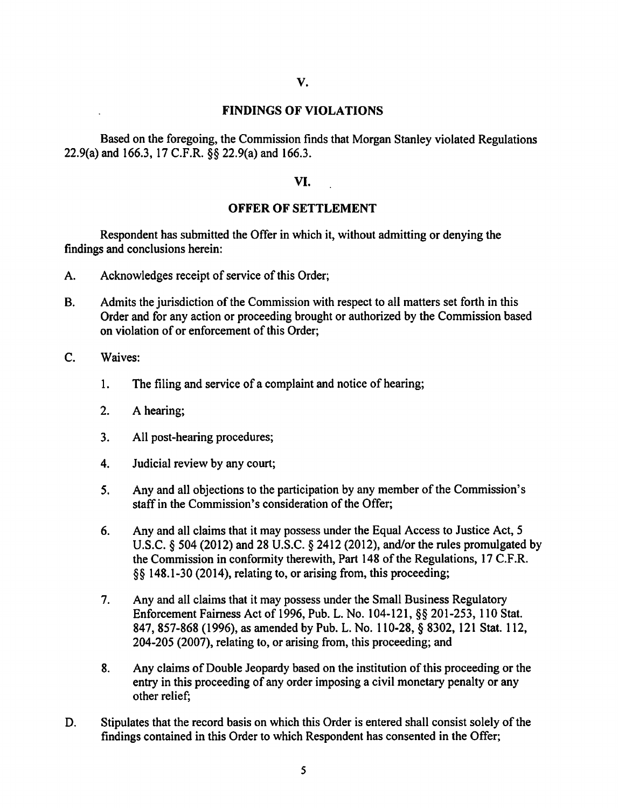### FINDINGS OF VIOLATIONS

Based on the foregoing, the Commission finds that Morgan Stanley violated Regulations 22.9(a) and 166.3, 17 C.F.R. §§ 22.9(a) and 166.3.

### VI.

#### OFFER OF SETTLEMENT

Respondent has submitted the Offer in which it, without admitting or denying the findings and conclusions herein:

- A. Acknowledges receipt of service of this Order;
- B. Admits the jurisdiction of the Commission with respect to all matters set forth in this Order and for any action or proceeding brought or authorized by the Commission based on violation of or enforcement of this Order;
- C. Waives:
	- 1. The filing and service of a complaint and notice of hearing;
	- 2. A hearing;
	- 3. All post-hearing procedures;
	- 4. Judicial review by any court;
	- 5. Any and all objections to the participation by any member of the Commission's staff in the Commission's consideration of the Offer;
	- 6. Any and all claims that it may possess under the Equal Access to Justice Act, 5 U.S.C. § 504 (2012) and 28 U.S.C. § 2412 (2012), and/or the rules promulgated by the Commission in conformity therewith, Part 148 of the Regulations, 17 C.F.R. §§ 148.1-30 (2014), relating to, or arising from, this proceeding;
	- 7. Any and all claims that it may possess under the Small Business Regulatory Enforcement Fairness Act of 1996, Pub. L. No. 104-121, §§ 201-253, 110 Stat. 847,857-868 (1996), as amended by Pub. L. No. 110-28, § 8302, 121 Stat. 112, 204-205 (2007), relating to, or arising from, this proceeding; and
	- 8. Any claims of Double Jeopardy based on the institution of this proceeding or the entry in this proceeding of any order imposing a civil monetary penalty or any other relief;
- D. Stipulates that the record basis on which this Order is entered shall consist solely of the findings contained in this Order to which Respondent has consented in the Offer;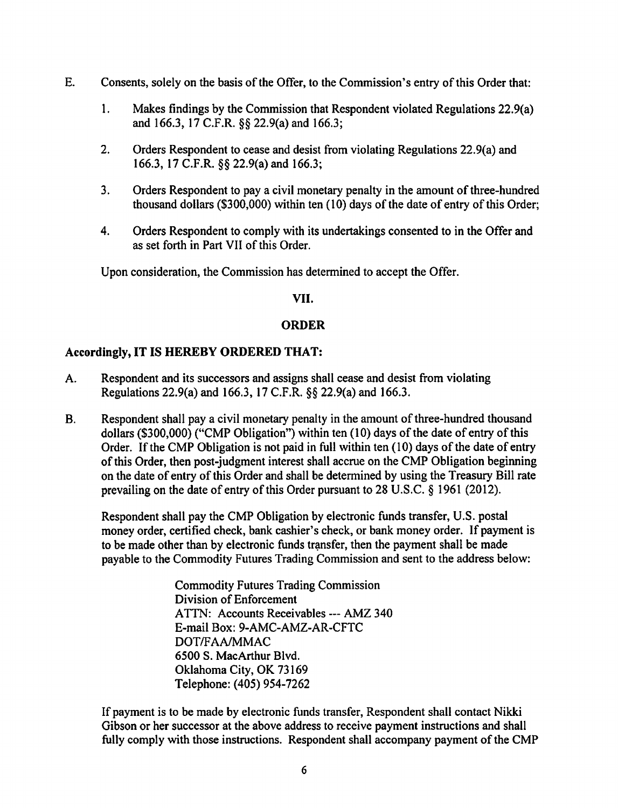- E. Consents, solely on the basis of the Offer, to the Commission's entry of this Order that:
	- 1. Makes findings by the Commission that Respondent violated Regulations 22.9(a) and 166.3, 17 C.F.R. §§ 22.9(a) and 166.3;
	- 2. Orders Respondent to cease and desist from violating Regulations 22.9(a) and 166.3, 17 C.F.R. §§ 22.9(a) and 166.3;
	- 3. Orders Respondent to pay a civil monetary penalty in the amount of three-hundred thousand dollars (\$300,000) within ten  $(10)$  days of the date of entry of this Order;
	- 4. Orders Respondent to comply with its undertakings consented to in the Offer and as set forth in Part VII of this Order.

Upon consideration, the Commission has determined to accept the Offer.

## VII.

# ORDER

# Accordingly, IT IS HEREBY ORDERED THAT:

- A. Respondent and its successors and assigns shall cease and desist from violating Regulations 22.9(a) and 166.3, 17 C.F.R. §§ 22.9(a) and 166.3.
- B. Respondent shall pay a civil monetary penalty in the amount of three-hundred thousand dollars (\$300,000) ("CMP Obligation") within ten  $(10)$  days of the date of entry of this Order. If the CMP Obligation is not paid in full within ten (10) days of the date of entry of this Order, then post-judgment interest shall accrue on the CMP Obligation beginning on the date of entry of this Order and shall be determined by using the Treasury Bill rate prevailing on the date of entry of this Order pursuant to 28 U.S.C. § 1961 (2012).

Respondent shall pay the CMP Obligation by electronic funds transfer, U.S. postal money order, certified check, bank cashier's check, or bank money order. If payment is to be made other than by electronic funds transfer, then the payment shall be made payable to the Commodity Futures Trading Commission and sent to the address below:

> Commodity Futures Trading Commission Division of Enforcement ATTN: Accounts Receivables--- AMZ 340 E-mail Box: 9-AMC-AMZ-AR-CFTC DOT/FAA/MMAC 6500 S. MacArthur Blvd. Oklahoma City, OK 73169 Telephone: (405) 954-7262

If payment is to be made by electronic funds transfer, Respondent shall contact Nikki Gibson or her successor at the above address to receive payment instructions and shall fully comply with those instructions. Respondent shall accompany payment of the CMP